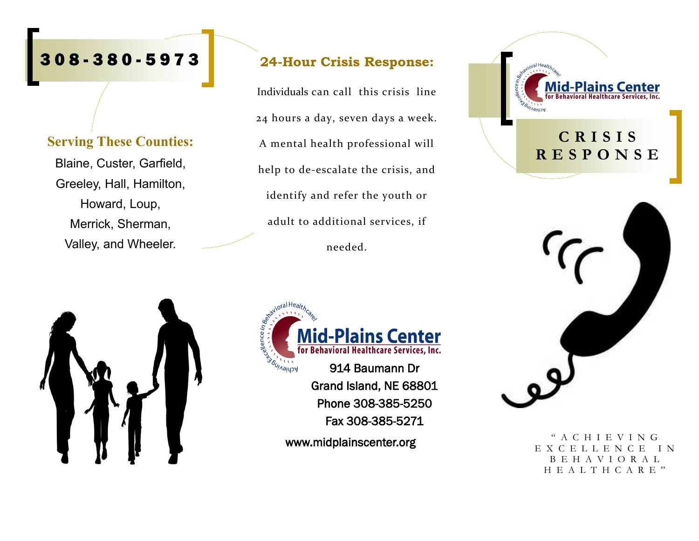# 3 0 8 - 380 - 5 9 7 3

#### **Serving These Counties:**

Blaine, Custer, Garfield, Greeley, Hall, Hamilton, Howard, Loup, Merrick, Sherman, Valley, and Wheeler.

#### **24-Hour Crisis Response:**

Individuals can call this crisis line 24 hours a day, seven days a week. A mental health professional will help to de-escalate the crisis, and identify and refer the youth or adult to additional services, if needed.



## **C R I S I S R E S P O N S E**



" A C H I E V I N G E X C E L L E N C E I N B E H A V I O R A L H E A L T H C A R E "





www.midplainscenter.org